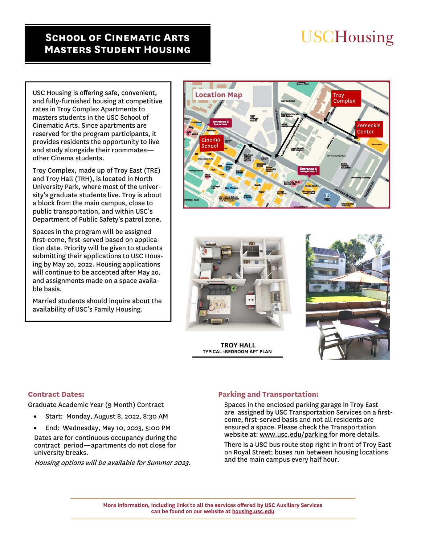# **School of Cinematic Arts Masters Student Housing**

# **USCHousing**

USC Housing is offering safe, convenient, and fully-furnished housing at competitive rates in Troy Complex Apartments to masters students in the USC School of Cinematic Arts. Since apartments are reserved for the program participants, it provides residents the opportunity to live and study alongside their roommates other Cinema students.

Troy Complex, made up of Troy East (TRE) and Troy Hall (TRH), is located in North University Park, where most of the university's graduate students live. Troy is about a block from the main campus, close to public transportation, and within USC's Department of Public Safety's patrol zone.

Spaces in the program will be assigned first-come, first-served based on application date. Priority will be given to students submitting their applications to USC Housing by May 2o, 2022. Housing applications will continue to be accepted after May 2o, and assignments made on a space available basis.

Married students should inquire about the availability of USC's Family Housing.





 **TROY HALL TYPICAL 1BEDROOM APT PLAN** 



# **Contract Dates:**

Graduate Academic Year (9 Month) Contract

- Start: Monday, August 8, 2022, 8:30 AM
- End: Wednesday, May 10, 2023, 5:00 PM

Dates are for continuous occupancy during the contract period—apartments do not close for university breaks.

Housing options will be available for Summer 2023.

# **Parking and Transportation:**

Spaces in the enclosed parking garage in Troy East are assigned by USC Transportation Services on a firstcome, first-served basis and not all residents are ensured a space. Please check the Transportation website at: www.usc.edu/parking for more details.

There is a USC bus route stop right in front of Troy East on Royal Street; buses run between housing locations and the main campus every half hour.

**More information, including links to all the services offered by USC Auxiliary Services can be found on our website at housing.usc.edu**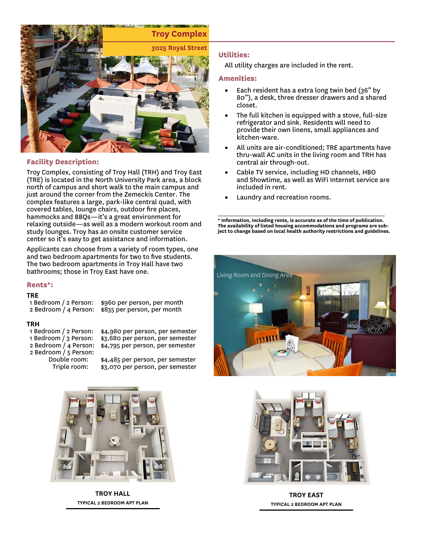

# **Facility Description:**

Troy Complex, consisting of Troy Hall (TRH) and Troy East (TRE) is located in the North University Park area, a block north of campus and short walk to the main campus and just around the corner from the Zemeckis Center. The complex features a large, park-like central quad, with covered tables, lounge chairs, outdoor fire places, hammocks and BBQs—it's a great environment for relaxing outside—as well as a modern workout room and study lounges. Troy has an onsite customer service center so it's easy to get assistance and information.

Applicants can choose from a variety of room types, one and two bedroom apartments for two to five students. The two bedroom apartments in Troy Hall have two bathrooms; those in Troy East have one.

#### **Rents\*:**

TRE<br>1 Bedroom / 2 Person:

\$960 per person, per month 2 Bedroom / 4 Person: \$835 per person, per month

#### TRH

- 1 Bedroom / 2 Person: \$4,980 per person, per semester
- 
- 
- 2 Bedroom / 5 Person:
	-

1 Bedroom / 3 Person: \$3,680 per person, per semester<br>2 Bedroom / 4 Person: \$4,795 per person, per semester \$4,795 per person, per semester

 Double room: \$4,485 per person, per semester \$3,070 per person, per semester



**TROY HALL TYPICAL 2 BEDROOM APT PLAN** 

# **Utilities:**

All utility charges are included in the rent.

### **Amenities:**

- Each resident has a extra long twin bed (36" by 80"), a desk, three dresser drawers and a shared closet.
- The full kitchen is equipped with a stove, full-size refrigerator and sink. Residents will need to provide their own linens, small appliances and kitchen-ware.
- All units are air-conditioned; TRE apartments have thru-wall AC units in the living room and TRH has central air through-out.
- Cable TV service, including HD channels, HBO and Showtime, as well as WiFi Internet service are included in rent.
- Laundry and recreation rooms.

**\* Information, including rents, is accurate as of the time of publication. The availability of listed housing accommodations and programs are subject to change based on local health authority restrictions and guidelines.** 





**TROY EAST TYPICAL 2 BEDROOM APT PLAN**